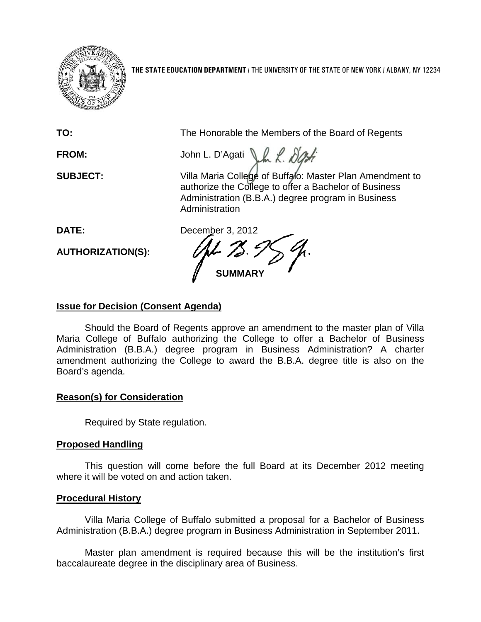

**THE STATE EDUCATION DEPARTMENT** / THE UNIVERSITY OF THE STATE OF NEW YORK / ALBANY, NY 12234

| TO:                      | The Honorable the Members of the Board of Regents                                                                                                                                         |
|--------------------------|-------------------------------------------------------------------------------------------------------------------------------------------------------------------------------------------|
| <b>FROM:</b>             | John L. D'Agati                                                                                                                                                                           |
| <b>SUBJECT:</b>          | Villa Maria College of Buffalo: Master Plan Amendment to<br>authorize the College to offer a Bachelor of Business<br>Administration (B.B.A.) degree program in Business<br>Administration |
| <b>DATE:</b>             | December 3, 2012                                                                                                                                                                          |
| <b>AUTHORIZATION(S):</b> | <b>SUMMARY</b>                                                                                                                                                                            |

# **Issue for Decision (Consent Agenda)**

Should the Board of Regents approve an amendment to the master plan of Villa Maria College of Buffalo authorizing the College to offer a Bachelor of Business Administration (B.B.A.) degree program in Business Administration? A charter amendment authorizing the College to award the B.B.A. degree title is also on the Board's agenda.

## **Reason(s) for Consideration**

Required by State regulation.

## **Proposed Handling**

This question will come before the full Board at its December 2012 meeting where it will be voted on and action taken.

## **Procedural History**

Villa Maria College of Buffalo submitted a proposal for a Bachelor of Business Administration (B.B.A.) degree program in Business Administration in September 2011.

Master plan amendment is required because this will be the institution's first baccalaureate degree in the disciplinary area of Business.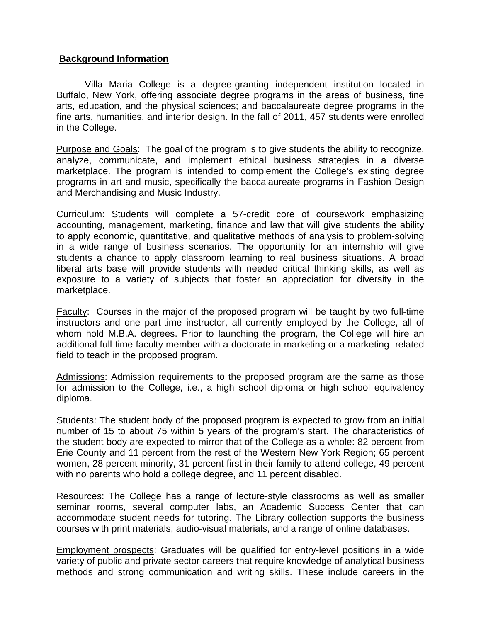## **Background Information**

Villa Maria College is a degree-granting independent institution located in Buffalo, New York, offering associate degree programs in the areas of business, fine arts, education, and the physical sciences; and baccalaureate degree programs in the fine arts, humanities, and interior design. In the fall of 2011, 457 students were enrolled in the College.

Purpose and Goals: The goal of the program is to give students the ability to recognize, analyze, communicate, and implement ethical business strategies in a diverse marketplace. The program is intended to complement the College's existing degree programs in art and music, specifically the baccalaureate programs in Fashion Design and Merchandising and Music Industry.

Curriculum: Students will complete a 57-credit core of coursework emphasizing accounting, management, marketing, finance and law that will give students the ability to apply economic, quantitative, and qualitative methods of analysis to problem-solving in a wide range of business scenarios. The opportunity for an internship will give students a chance to apply classroom learning to real business situations. A broad liberal arts base will provide students with needed critical thinking skills, as well as exposure to a variety of subjects that foster an appreciation for diversity in the marketplace.

Faculty: Courses in the major of the proposed program will be taught by two full-time instructors and one part-time instructor, all currently employed by the College, all of whom hold M.B.A. degrees. Prior to launching the program, the College will hire an additional full-time faculty member with a doctorate in marketing or a marketing- related field to teach in the proposed program.

Admissions: Admission requirements to the proposed program are the same as those for admission to the College, i.e., a high school diploma or high school equivalency diploma.

Students: The student body of the proposed program is expected to grow from an initial number of 15 to about 75 within 5 years of the program's start. The characteristics of the student body are expected to mirror that of the College as a whole: 82 percent from Erie County and 11 percent from the rest of the Western New York Region; 65 percent women, 28 percent minority, 31 percent first in their family to attend college, 49 percent with no parents who hold a college degree, and 11 percent disabled.

Resources: The College has a range of lecture-style classrooms as well as smaller seminar rooms, several computer labs, an Academic Success Center that can accommodate student needs for tutoring. The Library collection supports the business courses with print materials, audio-visual materials, and a range of online databases.

Employment prospects: Graduates will be qualified for entry-level positions in a wide variety of public and private sector careers that require knowledge of analytical business methods and strong communication and writing skills. These include careers in the